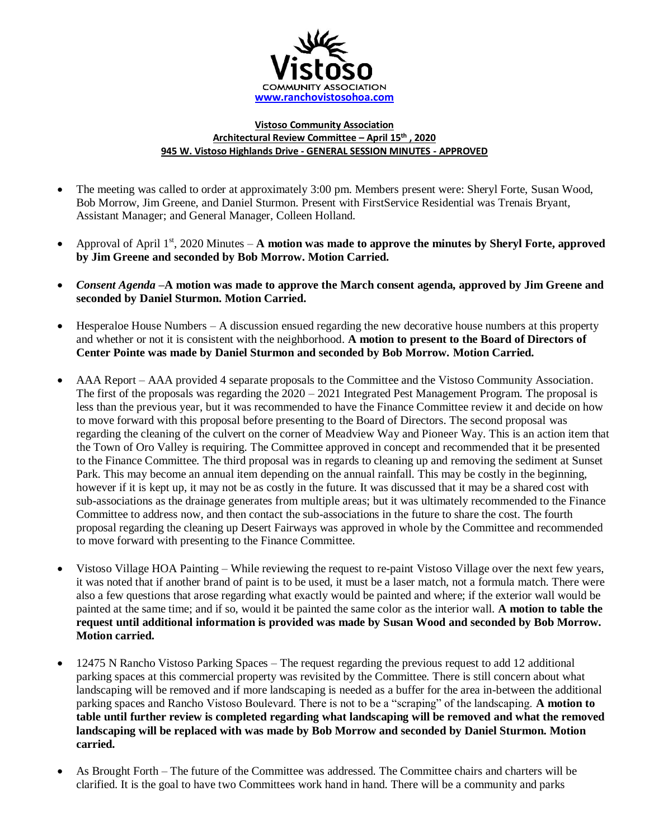

## **Vistoso Community Association Architectural Review Committee – April 15th , 2020 945 W. Vistoso Highlands Drive - GENERAL SESSION MINUTES - APPROVED**

- The meeting was called to order at approximately 3:00 pm. Members present were: Sheryl Forte, Susan Wood, Bob Morrow, Jim Greene, and Daniel Sturmon. Present with FirstService Residential was Trenais Bryant, Assistant Manager; and General Manager, Colleen Holland.
- Approval of April 1<sup>st</sup>, 2020 Minutes **A motion was made to approve the minutes by Sheryl Forte, approved by Jim Greene and seconded by Bob Morrow. Motion Carried.**
- *Consent Agenda –***A motion was made to approve the March consent agenda, approved by Jim Greene and seconded by Daniel Sturmon. Motion Carried.**
- Hesperaloe House Numbers A discussion ensued regarding the new decorative house numbers at this property and whether or not it is consistent with the neighborhood. **A motion to present to the Board of Directors of Center Pointe was made by Daniel Sturmon and seconded by Bob Morrow. Motion Carried.**
- AAA Report AAA provided 4 separate proposals to the Committee and the Vistoso Community Association. The first of the proposals was regarding the  $2020 - 2021$  Integrated Pest Management Program. The proposal is less than the previous year, but it was recommended to have the Finance Committee review it and decide on how to move forward with this proposal before presenting to the Board of Directors. The second proposal was regarding the cleaning of the culvert on the corner of Meadview Way and Pioneer Way. This is an action item that the Town of Oro Valley is requiring. The Committee approved in concept and recommended that it be presented to the Finance Committee. The third proposal was in regards to cleaning up and removing the sediment at Sunset Park. This may become an annual item depending on the annual rainfall. This may be costly in the beginning, however if it is kept up, it may not be as costly in the future. It was discussed that it may be a shared cost with sub-associations as the drainage generates from multiple areas; but it was ultimately recommended to the Finance Committee to address now, and then contact the sub-associations in the future to share the cost. The fourth proposal regarding the cleaning up Desert Fairways was approved in whole by the Committee and recommended to move forward with presenting to the Finance Committee.
- Vistoso Village HOA Painting While reviewing the request to re-paint Vistoso Village over the next few years, it was noted that if another brand of paint is to be used, it must be a laser match, not a formula match. There were also a few questions that arose regarding what exactly would be painted and where; if the exterior wall would be painted at the same time; and if so, would it be painted the same color as the interior wall. **A motion to table the request until additional information is provided was made by Susan Wood and seconded by Bob Morrow. Motion carried.**
- 12475 N Rancho Vistoso Parking Spaces The request regarding the previous request to add 12 additional parking spaces at this commercial property was revisited by the Committee. There is still concern about what landscaping will be removed and if more landscaping is needed as a buffer for the area in-between the additional parking spaces and Rancho Vistoso Boulevard. There is not to be a "scraping" of the landscaping. **A motion to table until further review is completed regarding what landscaping will be removed and what the removed landscaping will be replaced with was made by Bob Morrow and seconded by Daniel Sturmon. Motion carried.**
- As Brought Forth The future of the Committee was addressed. The Committee chairs and charters will be clarified. It is the goal to have two Committees work hand in hand. There will be a community and parks